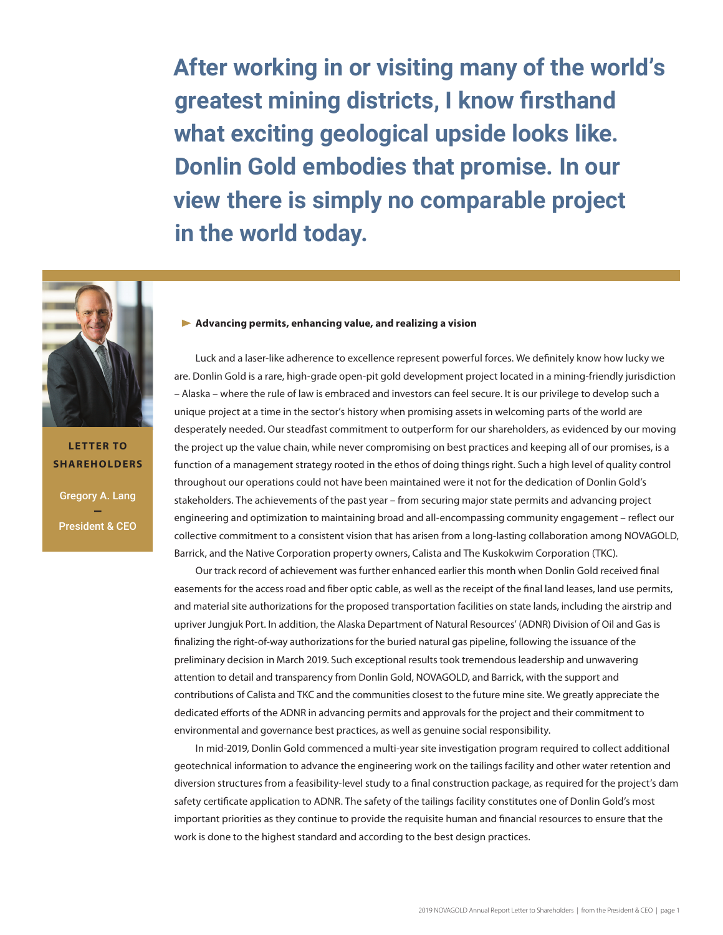**After working in or visiting many of the world's greatest mining districts, I know firsthand what exciting geological upside looks like. Donlin Gold embodies that promise. In our view there is simply no comparable project in the world today.**



Gregory A. Lang — President & CEO **LETTER TO SHAREHOLDERS**

# **Advancing permits, enhancing value, and realizing a vision**

Luck and a laser-like adherence to excellence represent powerful forces. We definitely know how lucky we are. Donlin Gold is a rare, high-grade open-pit gold development project located in a mining-friendly jurisdiction – Alaska – where the rule of law is embraced and investors can feel secure. It is our privilege to develop such a unique project at a time in the sector's history when promising assets in welcoming parts of the world are desperately needed. Our steadfast commitment to outperform for our shareholders, as evidenced by our moving the project up the value chain, while never compromising on best practices and keeping all of our promises, is a function of a management strategy rooted in the ethos of doing things right. Such a high level of quality control throughout our operations could not have been maintained were it not for the dedication of Donlin Gold's stakeholders. The achievements of the past year – from securing major state permits and advancing project engineering and optimization to maintaining broad and all-encompassing community engagement – reflect our collective commitment to a consistent vision that has arisen from a long-lasting collaboration among NOVAGOLD, Barrick, and the Native Corporation property owners, Calista and The Kuskokwim Corporation (TKC).

Our track record of achievement was further enhanced earlier this month when Donlin Gold received final easements for the access road and fiber optic cable, as well as the receipt of the final land leases, land use permits, and material site authorizations for the proposed transportation facilities on state lands, including the airstrip and upriver Jungjuk Port. In addition, the Alaska Department of Natural Resources' (ADNR) Division of Oil and Gas is finalizing the right-of-way authorizations for the buried natural gas pipeline, following the issuance of the preliminary decision in March 2019. Such exceptional results took tremendous leadership and unwavering attention to detail and transparency from Donlin Gold, NOVAGOLD, and Barrick, with the support and contributions of Calista and TKC and the communities closest to the future mine site. We greatly appreciate the dedicated efforts of the ADNR in advancing permits and approvals for the project and their commitment to environmental and governance best practices, as well as genuine social responsibility.

In mid-2019, Donlin Gold commenced a multi-year site investigation program required to collect additional geotechnical information to advance the engineering work on the tailings facility and other water retention and diversion structures from a feasibility-level study to a final construction package, as required for the project's dam safety certificate application to ADNR. The safety of the tailings facility constitutes one of Donlin Gold's most important priorities as they continue to provide the requisite human and financial resources to ensure that the work is done to the highest standard and according to the best design practices.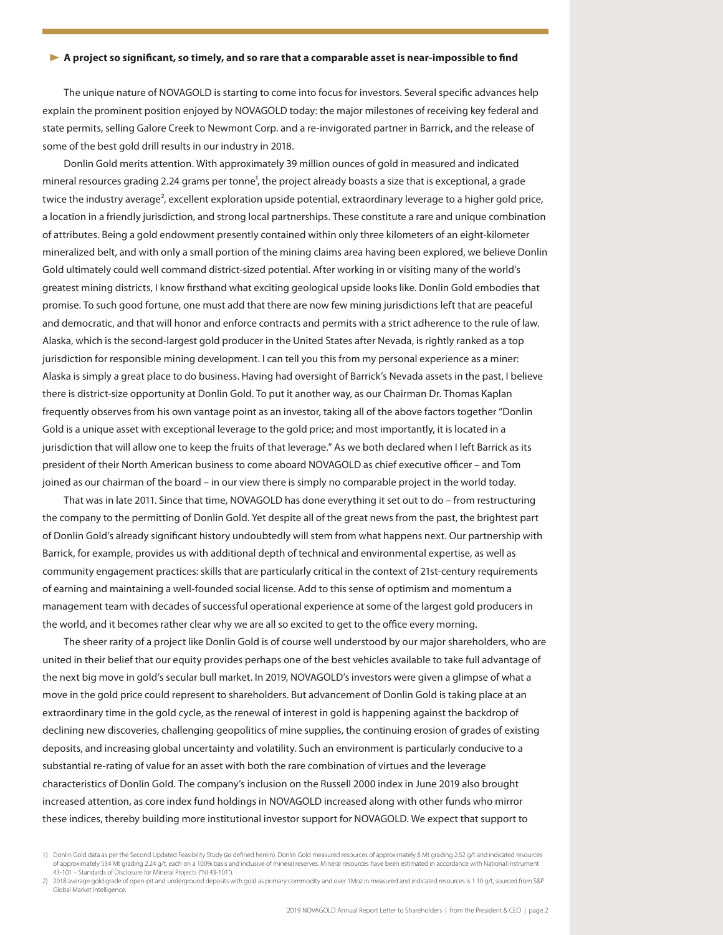### **A project so significant, so timely, and so rare that a comparable asset is near-impossible to find**

The unique nature of NOVAGOLD is starting to come into focus for investors. Several specific advances help explain the prominent position enjoyed by NOVAGOLD today: the major milestones of receiving key federal and state permits, selling Galore Creek to Newmont Corp. and a re-invigorated partner in Barrick, and the release of some of the best gold drill results in our industry in 2018.

Donlin Gold merits attention. With approximately 39 million ounces of gold in measured and indicated mineral resources grading 2.24 grams per tonne<sup>1</sup>, the project already boasts a size that is exceptional, a grade twice the industry average<sup>2</sup>, excellent exploration upside potential, extraordinary leverage to a higher gold price, a location in a friendly jurisdiction, and strong local partnerships. These constitute a rare and unique combination of attributes. Being a gold endowment presently contained within only three kilometers of an eight-kilometer mineralized belt, and with only a small portion of the mining claims area having been explored, we believe Donlin Gold ultimately could well command district-sized potential. After working in or visiting many of the world's greatest mining districts, I know firsthand what exciting geological upside looks like. Donlin Gold embodies that promise. To such good fortune, one must add that there are now few mining jurisdictions left that are peaceful and democratic, and that will honor and enforce contracts and permits with a strict adherence to the rule of law. Alaska, which is the second-largest gold producer in the United States after Nevada, is rightly ranked as a top jurisdiction for responsible mining development. I can tell you this from my personal experience as a miner: Alaska is simply a great place to do business. Having had oversight of Barrick's Nevada assets in the past, I believe there is district-size opportunity at Donlin Gold. To put it another way, as our Chairman Dr. Thomas Kaplan frequently observes from his own vantage point as an investor, taking all of the above factors together "Donlin Gold is a unique asset with exceptional leverage to the gold price; and most importantly, it is located in a jurisdiction that will allow one to keep the fruits of that leverage." As we both declared when I left Barrick as its president of their North American business to come aboard NOVAGOLD as chief executive officer – and Tom joined as our chairman of the board – in our view there is simply no comparable project in the world today.

That was in late 2011. Since that time, NOVAGOLD has done everything it set out to do – from restructuring the company to the permitting of Donlin Gold. Yet despite all of the great news from the past, the brightest part of Donlin Gold's already significant history undoubtedly will stem from what happens next. Our partnership with Barrick, for example, provides us with additional depth of technical and environmental expertise, as well as community engagement practices: skills that are particularly critical in the context of 21st-century requirements of earning and maintaining a well-founded social license. Add to this sense of optimism and momentum a management team with decades of successful operational experience at some of the largest gold producers in the world, and it becomes rather clear why we are all so excited to get to the office every morning.

The sheer rarity of a project like Donlin Gold is of course well understood by our major shareholders, who are united in their belief that our equity provides perhaps one of the best vehicles available to take full advantage of the next big move in gold's secular bull market. In 2019, NOVAGOLD's investors were given a glimpse of what a move in the gold price could represent to shareholders. But advancement of Donlin Gold is taking place at an extraordinary time in the gold cycle, as the renewal of interest in gold is happening against the backdrop of declining new discoveries, challenging geopolitics of mine supplies, the continuing erosion of grades of existing deposits, and increasing global uncertainty and volatility. Such an environment is particularly conducive to a substantial re-rating of value for an asset with both the rare combination of virtues and the leverage characteristics of Donlin Gold. The company's inclusion on the Russell 2000 index in June 2019 also brought increased attention, as core index fund holdings in NOVAGOLD increased along with other funds who mirror these indices, thereby building more institutional investor support for NOVAGOLD. We expect that support to

<sup>1)</sup> Donlin Gold data as per the Second Updated Feasibility Study (as defined herein). Donlin Gold measured resources of approximately 8 Mt grading 2.52 g/t and indicated resources of approximately 534 Mt grading 2.24 g/t, each on a 100% basis and inclusive of mineral reserves. Mineral resources have been estimated in accordance with National Instrument 43-101 – Standards of Disclosure for Mineral Projects ("NI 43-101").

<sup>2) 2018</sup> average gold grade of open-pit and underground deposits with gold as primary commodity and over 1Moz in measured and indicated resources is 1.10 g/t, sourced from S&P Global Market Intelligence.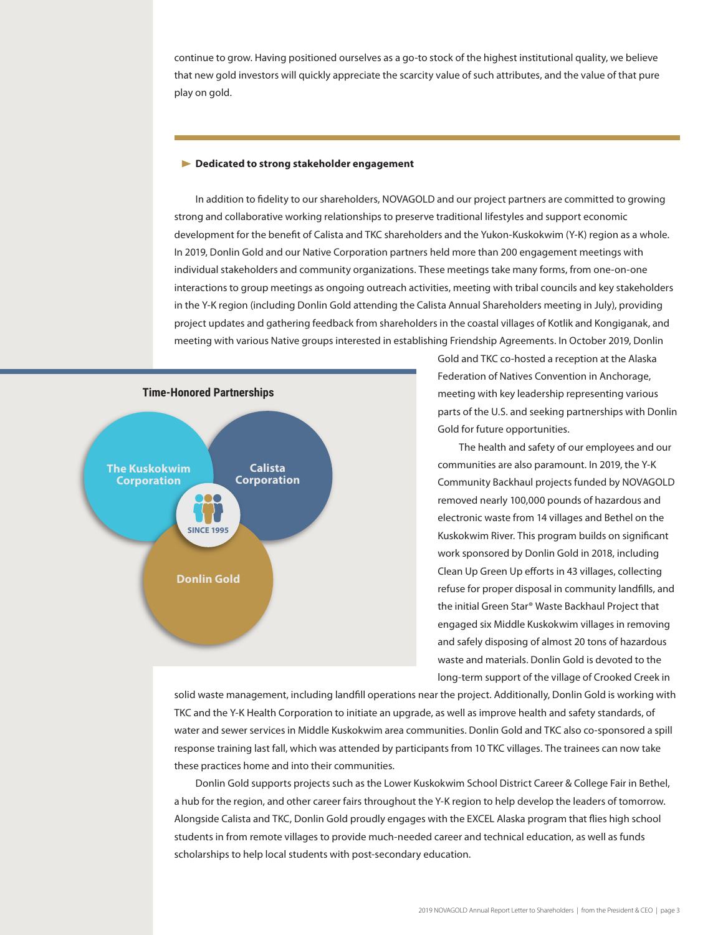continue to grow. Having positioned ourselves as a go-to stock of the highest institutional quality, we believe that new gold investors will quickly appreciate the scarcity value of such attributes, and the value of that pure play on gold.

#### **Dedicated to strong stakeholder engagement**

In addition to fidelity to our shareholders, NOVAGOLD and our project partners are committed to growing strong and collaborative working relationships to preserve traditional lifestyles and support economic development for the benefit of Calista and TKC shareholders and the Yukon-Kuskokwim (Y-K) region as a whole. In 2019, Donlin Gold and our Native Corporation partners held more than 200 engagement meetings with individual stakeholders and community organizations. These meetings take many forms, from one-on-one interactions to group meetings as ongoing outreach activities, meeting with tribal councils and key stakeholders in the Y-K region (including Donlin Gold attending the Calista Annual Shareholders meeting in July), providing project updates and gathering feedback from shareholders in the coastal villages of Kotlik and Kongiganak, and meeting with various Native groups interested in establishing Friendship Agreements. In October 2019, Donlin



Gold and TKC co-hosted a reception at the Alaska Federation of Natives Convention in Anchorage, meeting with key leadership representing various parts of the U.S. and seeking partnerships with Donlin Gold for future opportunities.

The health and safety of our employees and our communities are also paramount. In 2019, the Y-K Community Backhaul projects funded by NOVAGOLD removed nearly 100,000 pounds of hazardous and electronic waste from 14 villages and Bethel on the Kuskokwim River. This program builds on significant work sponsored by Donlin Gold in 2018, including Clean Up Green Up efforts in 43 villages, collecting refuse for proper disposal in community landfills, and the initial Green Star® Waste Backhaul Project that engaged six Middle Kuskokwim villages in removing and safely disposing of almost 20 tons of hazardous waste and materials. Donlin Gold is devoted to the long-term support of the village of Crooked Creek in

solid waste management, including landfill operations near the project. Additionally, Donlin Gold is working with TKC and the Y-K Health Corporation to initiate an upgrade, as well as improve health and safety standards, of water and sewer services in Middle Kuskokwim area communities. Donlin Gold and TKC also co-sponsored a spill response training last fall, which was attended by participants from 10 TKC villages. The trainees can now take these practices home and into their communities.

Donlin Gold supports projects such as the Lower Kuskokwim School District Career & College Fair in Bethel, a hub for the region, and other career fairs throughout the Y-K region to help develop the leaders of tomorrow. Alongside Calista and TKC, Donlin Gold proudly engages with the EXCEL Alaska program that flies high school students in from remote villages to provide much-needed career and technical education, as well as funds scholarships to help local students with post-secondary education.